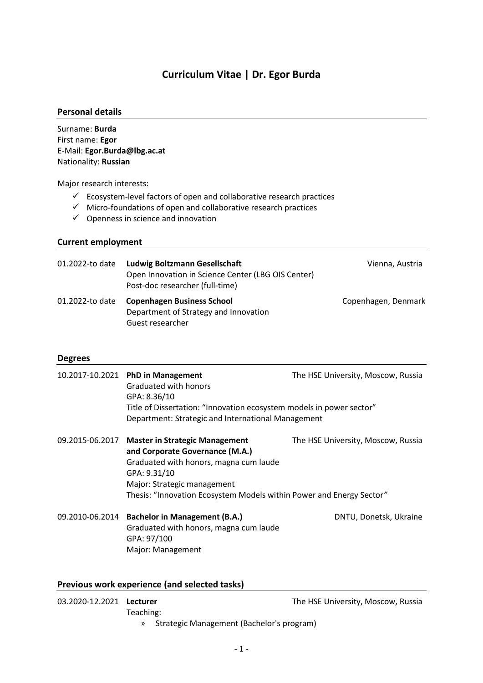# **Curriculum Vitae | Dr. Egor Burda**

#### **Personal details**

Surname: **Burda** First name: **Egor** E-Mail: **Egor.Burda@lbg.ac.at** Nationality: **Russian**

Major research interests:

- $\checkmark$  Ecosystem-level factors of open and collaborative research practices
- $\checkmark$  Micro-foundations of open and collaborative research practices
- $\checkmark$  Openness in science and innovation

### **Current employment**

| 01.2022-to date | Ludwig Boltzmann Gesellschaft<br>Open Innovation in Science Center (LBG OIS Center)<br>Post-doc researcher (full-time) | Vienna, Austria     |
|-----------------|------------------------------------------------------------------------------------------------------------------------|---------------------|
| 01.2022-to date | <b>Copenhagen Business School</b><br>Department of Strategy and Innovation<br>Guest researcher                         | Copenhagen, Denmark |

#### **Degrees**

|                 | 10.2017-10.2021 PhD in Management<br>Graduated with honors<br>GPA: 8.36/10<br>Title of Dissertation: "Innovation ecosystem models in power sector"<br>Department: Strategic and International Management                                  | The HSE University, Moscow, Russia |
|-----------------|-------------------------------------------------------------------------------------------------------------------------------------------------------------------------------------------------------------------------------------------|------------------------------------|
| 09.2015-06.2017 | <b>Master in Strategic Management</b><br>and Corporate Governance (M.A.)<br>Graduated with honors, magna cum laude<br>GPA: 9.31/10<br>Major: Strategic management<br>Thesis: "Innovation Ecosystem Models within Power and Energy Sector" | The HSE University, Moscow, Russia |
| 09.2010-06.2014 | <b>Bachelor in Management (B.A.)</b><br>Graduated with honors, magna cum laude<br>GPA: 97/100<br>Major: Management                                                                                                                        | DNTU, Donetsk, Ukraine             |

## **Previous work experience (and selected tasks)**

| 03.2020-12.2021 Lecturer |           | The HSE University, Moscow, Russia          |
|--------------------------|-----------|---------------------------------------------|
|                          | Teaching: |                                             |
|                          |           | » Strategic Management (Bachelor's program) |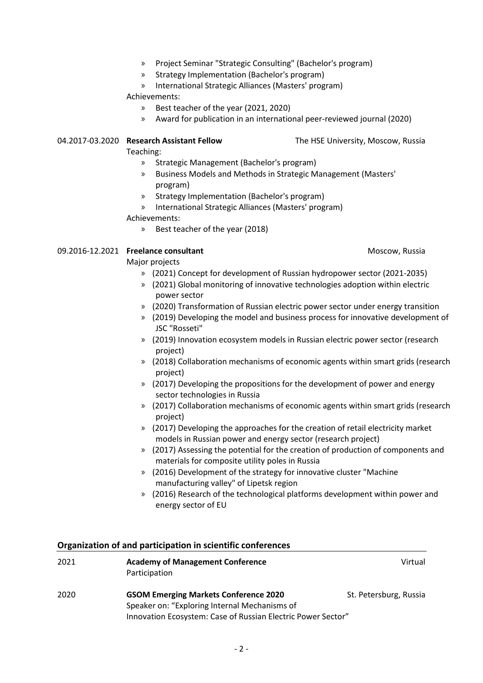- » Project Seminar "Strategic Consulting" (Bachelor's program)
- » Strategy Implementation (Bachelor's program)
- » International Strategic Alliances (Masters' program)

Achievements:

- » Best teacher of the year (2021, 2020)
- » Award for publication in an international peer-reviewed journal (2020)

#### 04.2017-03.2020 **Research Assistant Fellow** The HSE University, Moscow, Russia

Teaching:

- » Strategic Management (Bachelor's program)
- » Business Models and Methods in Strategic Management (Masters' program)
- » Strategy Implementation (Bachelor's program)
- » International Strategic Alliances (Masters' program) Achievements:
	- » Best teacher of the year (2018)

#### 09.2016-12.2021 **Freelance consultant Moscow, Russia Moscow, Russia**

#### Major projects

- » (2021) Concept for development of Russian hydropower sector (2021-2035)
- » (2021) Global monitoring of innovative technologies adoption within electric power sector
- » (2020) Transformation of Russian electric power sector under energy transition
- » (2019) Developing the model and business process for innovative development of JSC "Rosseti"
- » (2019) Innovation ecosystem models in Russian electric power sector (research project)
- » (2018) Collaboration mechanisms of economic agents within smart grids (research project)
- » (2017) Developing the propositions for the development of power and energy sector technologies in Russia
- » (2017) Collaboration mechanisms of economic agents within smart grids (research project)
- » (2017) Developing the approaches for the creation of retail electricity market models in Russian power and energy sector (research project)
- » (2017) Assessing the potential for the creation of production of components and materials for composite utility poles in Russia
- » (2016) Development of the strategy for innovative cluster "Machine manufacturing valley" of Lipetsk region
- » (2016) Research of the technological platforms development within power and energy sector of EU

## **Organization of and participation in scientific conferences**

| 2021 | <b>Academy of Management Conference</b><br>Participation                                      | Virtual                |
|------|-----------------------------------------------------------------------------------------------|------------------------|
| 2020 | <b>GSOM Emerging Markets Conference 2020</b><br>Speaker on: "Exploring Internal Mechanisms of | St. Petersburg, Russia |
|      | Innovation Ecosystem: Case of Russian Electric Power Sector"                                  |                        |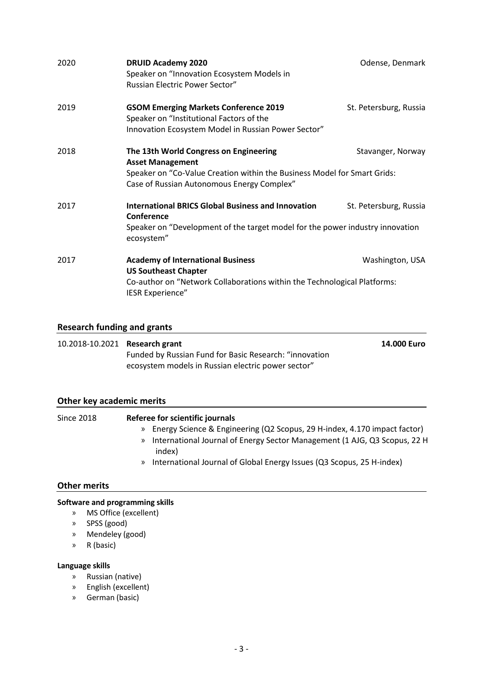| 2020 | <b>DRUID Academy 2020</b><br>Speaker on "Innovation Ecosystem Models in<br>Russian Electric Power Sector"                                                                                   | Odense, Denmark        |
|------|---------------------------------------------------------------------------------------------------------------------------------------------------------------------------------------------|------------------------|
| 2019 | <b>GSOM Emerging Markets Conference 2019</b><br>Speaker on "Institutional Factors of the<br>Innovation Ecosystem Model in Russian Power Sector"                                             | St. Petersburg, Russia |
| 2018 | The 13th World Congress on Engineering<br><b>Asset Management</b><br>Speaker on "Co-Value Creation within the Business Model for Smart Grids:<br>Case of Russian Autonomous Energy Complex" | Stavanger, Norway      |
| 2017 | <b>International BRICS Global Business and Innovation</b><br><b>Conference</b><br>Speaker on "Development of the target model for the power industry innovation<br>ecosystem"               | St. Petersburg, Russia |
| 2017 | <b>Academy of International Business</b><br><b>US Southeast Chapter</b><br>Co-author on "Network Collaborations within the Technological Platforms:<br><b>IESR Experience"</b>              | Washington, USA        |

# **Research funding and grants**

| 10.2018-10.2021 Research grant |                                                        | 14.000 Euro |
|--------------------------------|--------------------------------------------------------|-------------|
|                                | Funded by Russian Fund for Basic Research: "innovation |             |
|                                | ecosystem models in Russian electric power sector"     |             |

## **Other key academic merits**

| <b>Since 2018</b> | Referee for scientific journals                                                                                                                                                                                                                               |
|-------------------|---------------------------------------------------------------------------------------------------------------------------------------------------------------------------------------------------------------------------------------------------------------|
|                   | » Energy Science & Engineering (Q2 Scopus, 29 H-index, 4.170 impact factor)<br>International Journal of Energy Sector Management (1 AJG, Q3 Scopus, 22 H<br>$\gg$<br>index)<br>International Journal of Global Energy Issues (Q3 Scopus, 25 H-index)<br>$\gg$ |

### **Other merits**

## **Software and programming skills**

- » MS Office (excellent)
- » SPSS (good)
- » Mendeley (good)
- » R (basic)

### **Language skills**

- » Russian (native)
- » English (excellent)
- » German (basic)